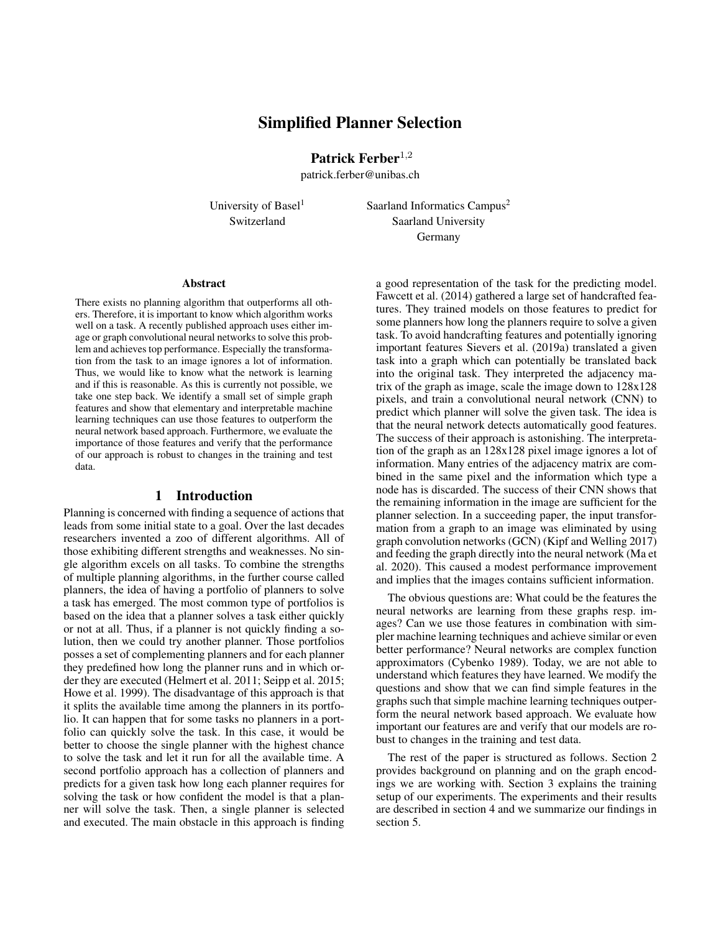# Simplified Planner Selection

Patrick Ferber<sup>1,2</sup>

patrick.ferber@unibas.ch

University of Basel<sup>1</sup> Saarland Informatics Campus<sup>2</sup> Switzerland Saarland University Germany

#### **Abstract**

There exists no planning algorithm that outperforms all others. Therefore, it is important to know which algorithm works well on a task. A recently published approach uses either image or graph convolutional neural networks to solve this problem and achieves top performance. Especially the transformation from the task to an image ignores a lot of information. Thus, we would like to know what the network is learning and if this is reasonable. As this is currently not possible, we take one step back. We identify a small set of simple graph features and show that elementary and interpretable machine learning techniques can use those features to outperform the neural network based approach. Furthermore, we evaluate the importance of those features and verify that the performance of our approach is robust to changes in the training and test data.

### 1 Introduction

Planning is concerned with finding a sequence of actions that leads from some initial state to a goal. Over the last decades researchers invented a zoo of different algorithms. All of those exhibiting different strengths and weaknesses. No single algorithm excels on all tasks. To combine the strengths of multiple planning algorithms, in the further course called planners, the idea of having a portfolio of planners to solve a task has emerged. The most common type of portfolios is based on the idea that a planner solves a task either quickly or not at all. Thus, if a planner is not quickly finding a solution, then we could try another planner. Those portfolios posses a set of complementing planners and for each planner they predefined how long the planner runs and in which order they are executed (Helmert et al. 2011; Seipp et al. 2015; Howe et al. 1999). The disadvantage of this approach is that it splits the available time among the planners in its portfolio. It can happen that for some tasks no planners in a portfolio can quickly solve the task. In this case, it would be better to choose the single planner with the highest chance to solve the task and let it run for all the available time. A second portfolio approach has a collection of planners and predicts for a given task how long each planner requires for solving the task or how confident the model is that a planner will solve the task. Then, a single planner is selected and executed. The main obstacle in this approach is finding

a good representation of the task for the predicting model. Fawcett et al. (2014) gathered a large set of handcrafted features. They trained models on those features to predict for some planners how long the planners require to solve a given task. To avoid handcrafting features and potentially ignoring important features Sievers et al. (2019a) translated a given task into a graph which can potentially be translated back into the original task. They interpreted the adjacency matrix of the graph as image, scale the image down to 128x128 pixels, and train a convolutional neural network (CNN) to predict which planner will solve the given task. The idea is that the neural network detects automatically good features. The success of their approach is astonishing. The interpretation of the graph as an 128x128 pixel image ignores a lot of information. Many entries of the adjacency matrix are combined in the same pixel and the information which type a node has is discarded. The success of their CNN shows that the remaining information in the image are sufficient for the planner selection. In a succeeding paper, the input transformation from a graph to an image was eliminated by using graph convolution networks (GCN) (Kipf and Welling 2017) and feeding the graph directly into the neural network (Ma et al. 2020). This caused a modest performance improvement and implies that the images contains sufficient information.

The obvious questions are: What could be the features the neural networks are learning from these graphs resp. images? Can we use those features in combination with simpler machine learning techniques and achieve similar or even better performance? Neural networks are complex function approximators (Cybenko 1989). Today, we are not able to understand which features they have learned. We modify the questions and show that we can find simple features in the graphs such that simple machine learning techniques outperform the neural network based approach. We evaluate how important our features are and verify that our models are robust to changes in the training and test data.

The rest of the paper is structured as follows. Section 2 provides background on planning and on the graph encodings we are working with. Section 3 explains the training setup of our experiments. The experiments and their results are described in section 4 and we summarize our findings in section 5.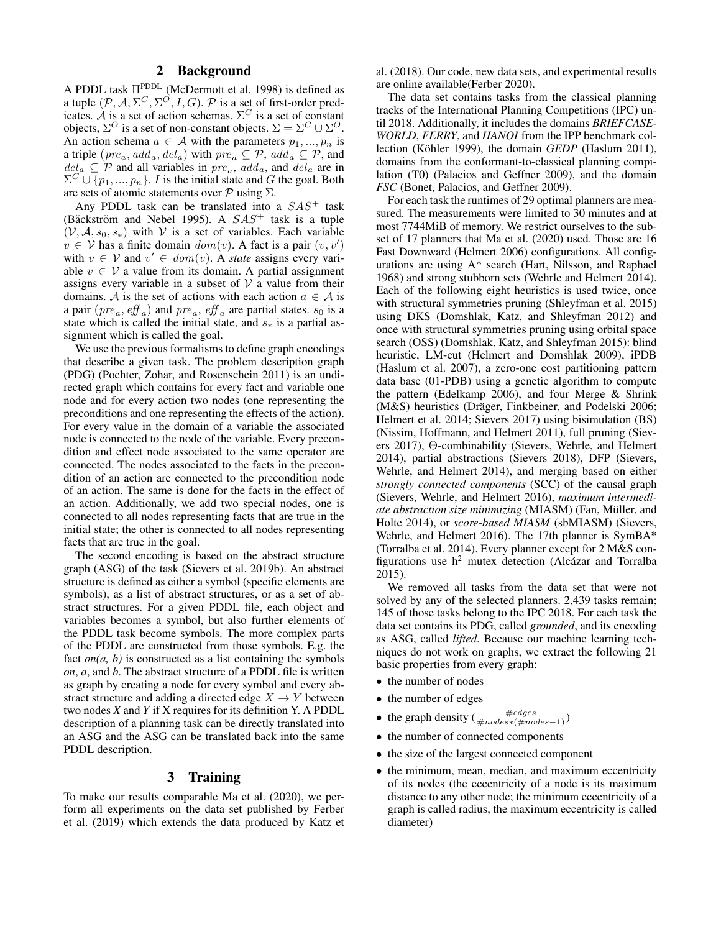# 2 Background

A PDDL task  $\Pi$ <sup>PDDL</sup> (McDermott et al. 1998) is defined as a tuple  $(\mathcal{P}, \mathcal{A}, \Sigma^C, \Sigma^O, I, G)$ .  $\mathcal P$  is a set of first-order predicates. A is a set of action schemas.  $\Sigma^C$  is a set of constant objects,  $\Sigma^O$  is a set of non-constant objects.  $\Sigma = \Sigma^C \cup \Sigma^O$ . An action schema  $a \in \mathcal{A}$  with the parameters  $p_1, ..., p_n$  is a triple  $(\text{pre}_a, \text{add}_a, \text{del}_a)$  with  $\text{pre}_a \subseteq \mathcal{P}$ ,  $\text{add}_a \subseteq \mathcal{P}$ , and  $del_a \subseteq P$  and all variables in  $pre_a$ ,  $add_a$ , and  $del_a$  are in  $\Sigma^C \cup \{p_1, ..., p_n\}$ . *I* is the initial state and *G* the goal. Both are sets of atomic statements over  $P$  using  $\Sigma$ .

Any PDDL task can be translated into a  $SAS<sup>+</sup>$  task (Bäckström and Nebel 1995). A  $SAS<sup>+</sup>$  task is a tuple  $(V, A, s_0, s_*)$  with V is a set of variables. Each variable  $v \in V$  has a finite domain  $dom(v)$ . A fact is a pair  $(v, v')$ with  $v \in V$  and  $v' \in dom(v)$ . A *state* assigns every variable  $v \in V$  a value from its domain. A partial assignment assigns every variable in a subset of  $V$  a value from their domains. A is the set of actions with each action  $a \in A$  is a pair  $(\text{pre}_a, \text{eff}_a)$  and  $\text{pre}_a, \text{eff}_a$  are partial states.  $s_0$  is a state which is called the initial state, and  $s_*$  is a partial assignment which is called the goal.

We use the previous formalisms to define graph encodings that describe a given task. The problem description graph (PDG) (Pochter, Zohar, and Rosenschein 2011) is an undirected graph which contains for every fact and variable one node and for every action two nodes (one representing the preconditions and one representing the effects of the action). For every value in the domain of a variable the associated node is connected to the node of the variable. Every precondition and effect node associated to the same operator are connected. The nodes associated to the facts in the precondition of an action are connected to the precondition node of an action. The same is done for the facts in the effect of an action. Additionally, we add two special nodes, one is connected to all nodes representing facts that are true in the initial state; the other is connected to all nodes representing facts that are true in the goal.

The second encoding is based on the abstract structure graph (ASG) of the task (Sievers et al. 2019b). An abstract structure is defined as either a symbol (specific elements are symbols), as a list of abstract structures, or as a set of abstract structures. For a given PDDL file, each object and variables becomes a symbol, but also further elements of the PDDL task become symbols. The more complex parts of the PDDL are constructed from those symbols. E.g. the fact  $\textit{on}(a, b)$  is constructed as a list containing the symbols *on*, *a*, and *b*. The abstract structure of a PDDL file is written as graph by creating a node for every symbol and every abstract structure and adding a directed edge  $X \to Y$  between two nodes *X* and *Y* if X requires for its definition Y. A PDDL description of a planning task can be directly translated into an ASG and the ASG can be translated back into the same PDDL description.

## 3 Training

To make our results comparable Ma et al. (2020), we perform all experiments on the data set published by Ferber et al. (2019) which extends the data produced by Katz et

al. (2018). Our code, new data sets, and experimental results are online available(Ferber 2020).

The data set contains tasks from the classical planning tracks of the International Planning Competitions (IPC) until 2018. Additionally, it includes the domains *BRIEFCASE-WORLD*, *FERRY*, and *HANOI* from the IPP benchmark collection (Köhler 1999), the domain *GEDP* (Haslum 2011), domains from the conformant-to-classical planning compilation (T0) (Palacios and Geffner 2009), and the domain *FSC* (Bonet, Palacios, and Geffner 2009).

For each task the runtimes of 29 optimal planners are measured. The measurements were limited to 30 minutes and at most 7744MiB of memory. We restrict ourselves to the subset of 17 planners that Ma et al. (2020) used. Those are 16 Fast Downward (Helmert 2006) configurations. All configurations are using A\* search (Hart, Nilsson, and Raphael 1968) and strong stubborn sets (Wehrle and Helmert 2014). Each of the following eight heuristics is used twice, once with structural symmetries pruning (Shleyfman et al. 2015) using DKS (Domshlak, Katz, and Shleyfman 2012) and once with structural symmetries pruning using orbital space search (OSS) (Domshlak, Katz, and Shleyfman 2015): blind heuristic, LM-cut (Helmert and Domshlak 2009), iPDB (Haslum et al. 2007), a zero-one cost partitioning pattern data base (01-PDB) using a genetic algorithm to compute the pattern (Edelkamp 2006), and four Merge & Shrink (M&S) heuristics (Dräger, Finkbeiner, and Podelski 2006; Helmert et al. 2014; Sievers 2017) using bisimulation (BS) (Nissim, Hoffmann, and Helmert 2011), full pruning (Sievers 2017), Θ-combinability (Sievers, Wehrle, and Helmert 2014), partial abstractions (Sievers 2018), DFP (Sievers, Wehrle, and Helmert 2014), and merging based on either *strongly connected components* (SCC) of the causal graph (Sievers, Wehrle, and Helmert 2016), *maximum intermediate abstraction size minimizing* (MIASM) (Fan, Müller, and Holte 2014), or *score-based MIASM* (sbMIASM) (Sievers, Wehrle, and Helmert 2016). The 17th planner is SymBA\* (Torralba et al. 2014). Every planner except for 2 M&S configurations use  $h^2$  mutex detection (Alcázar and Torralba 2015).

We removed all tasks from the data set that were not solved by any of the selected planners. 2,439 tasks remain; 145 of those tasks belong to the IPC 2018. For each task the data set contains its PDG, called *grounded*, and its encoding as ASG, called *lifted*. Because our machine learning techniques do not work on graphs, we extract the following 21 basic properties from every graph:

- the number of nodes
- the number of edges
- the graph density ( $\frac{\text{\#edges}}{\text{\#nodes}*(\text{\#nodes}-1)}$ )
- the number of connected components
- the size of the largest connected component
- the minimum, mean, median, and maximum eccentricity of its nodes (the eccentricity of a node is its maximum distance to any other node; the minimum eccentricity of a graph is called radius, the maximum eccentricity is called diameter)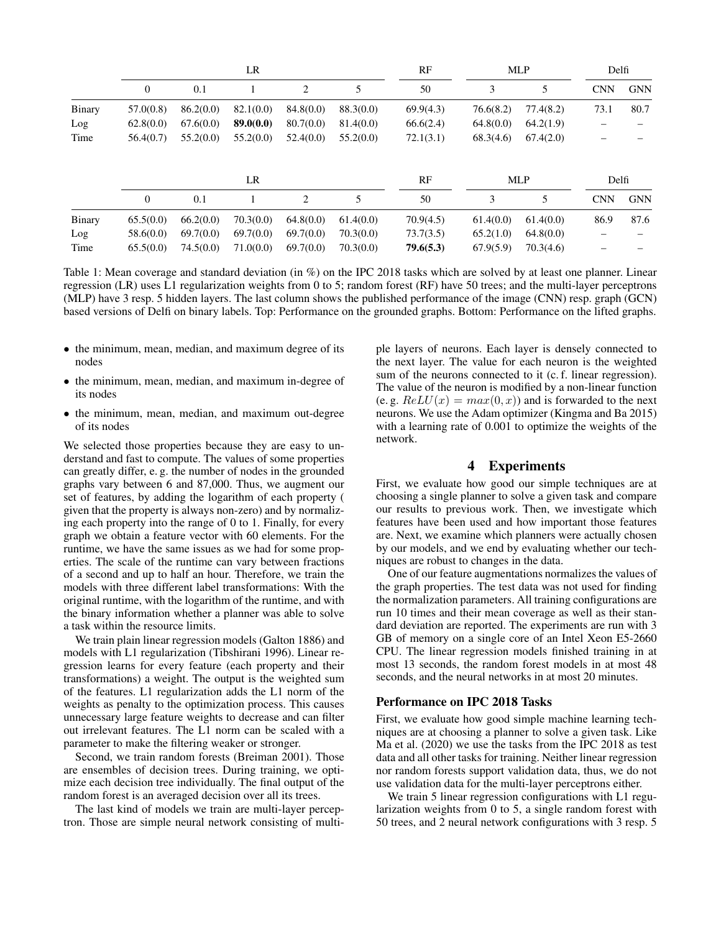|        | LR        |           |           |           | RF        | <b>MLP</b> |           | Delfi      |            |            |
|--------|-----------|-----------|-----------|-----------|-----------|------------|-----------|------------|------------|------------|
|        | $\theta$  | 0.1       |           | 2         | 5         | 50         | 3         | 5          | <b>CNN</b> | <b>GNN</b> |
| Binary | 57.0(0.8) | 86.2(0.0) | 82.1(0.0) | 84.8(0.0) | 88.3(0.0) | 69.9(4.3)  | 76.6(8.2) | 77.4(8.2)  | 73.1       | 80.7       |
| Log    | 62.8(0.0) | 67.6(0.0) | 89.0(0.0) | 80.7(0.0) | 81.4(0.0) | 66.6(2.4)  | 64.8(0.0) | 64.2(1.9)  |            |            |
| Time   | 56.4(0.7) | 55.2(0.0) | 55.2(0.0) | 52.4(0.0) | 55.2(0.0) | 72.1(3.1)  | 68.3(4.6) | 67.4(2.0)  |            |            |
|        |           |           | LR        |           |           | RF         |           | <b>MLP</b> | Delfi      |            |
|        | $\theta$  | 0.1       |           | 2         | 5         | 50         | 3         | 5          | <b>CNN</b> | <b>GNN</b> |
| Binary | 65.5(0.0) | 66.2(0.0) | 70.3(0.0) | 64.8(0.0) | 61.4(0.0) | 70.9(4.5)  | 61.4(0.0) | 61.4(0.0)  | 86.9       | 87.6       |
| Log    | 58.6(0.0) | 69.7(0.0) | 69.7(0.0) | 69.7(0.0) | 70.3(0.0) | 73.7(3.5)  | 65.2(1.0) | 64.8(0.0)  |            |            |
| Time   | 65.5(0.0) | 74.5(0.0) | 71.0(0.0) | 69.7(0.0) | 70.3(0.0) | 79.6(5.3)  | 67.9(5.9) | 70.3(4.6)  |            |            |

Table 1: Mean coverage and standard deviation (in %) on the IPC 2018 tasks which are solved by at least one planner. Linear regression (LR) uses L1 regularization weights from 0 to 5; random forest (RF) have 50 trees; and the multi-layer perceptrons (MLP) have 3 resp. 5 hidden layers. The last column shows the published performance of the image (CNN) resp. graph (GCN) based versions of Delfi on binary labels. Top: Performance on the grounded graphs. Bottom: Performance on the lifted graphs.

- the minimum, mean, median, and maximum degree of its nodes
- the minimum, mean, median, and maximum in-degree of its nodes
- the minimum, mean, median, and maximum out-degree of its nodes

We selected those properties because they are easy to understand and fast to compute. The values of some properties can greatly differ, e. g. the number of nodes in the grounded graphs vary between 6 and 87,000. Thus, we augment our set of features, by adding the logarithm of each property ( given that the property is always non-zero) and by normalizing each property into the range of 0 to 1. Finally, for every graph we obtain a feature vector with 60 elements. For the runtime, we have the same issues as we had for some properties. The scale of the runtime can vary between fractions of a second and up to half an hour. Therefore, we train the models with three different label transformations: With the original runtime, with the logarithm of the runtime, and with the binary information whether a planner was able to solve a task within the resource limits.

We train plain linear regression models (Galton 1886) and models with L1 regularization (Tibshirani 1996). Linear regression learns for every feature (each property and their transformations) a weight. The output is the weighted sum of the features. L1 regularization adds the L1 norm of the weights as penalty to the optimization process. This causes unnecessary large feature weights to decrease and can filter out irrelevant features. The L1 norm can be scaled with a parameter to make the filtering weaker or stronger.

Second, we train random forests (Breiman 2001). Those are ensembles of decision trees. During training, we optimize each decision tree individually. The final output of the random forest is an averaged decision over all its trees.

The last kind of models we train are multi-layer perceptron. Those are simple neural network consisting of multiple layers of neurons. Each layer is densely connected to the next layer. The value for each neuron is the weighted sum of the neurons connected to it (c. f. linear regression). The value of the neuron is modified by a non-linear function (e. g.  $ReLU(x) = max(0, x)$ ) and is forwarded to the next neurons. We use the Adam optimizer (Kingma and Ba 2015) with a learning rate of 0.001 to optimize the weights of the network.

# 4 Experiments

First, we evaluate how good our simple techniques are at choosing a single planner to solve a given task and compare our results to previous work. Then, we investigate which features have been used and how important those features are. Next, we examine which planners were actually chosen by our models, and we end by evaluating whether our techniques are robust to changes in the data.

One of our feature augmentations normalizes the values of the graph properties. The test data was not used for finding the normalization parameters. All training configurations are run 10 times and their mean coverage as well as their standard deviation are reported. The experiments are run with 3 GB of memory on a single core of an Intel Xeon E5-2660 CPU. The linear regression models finished training in at most 13 seconds, the random forest models in at most 48 seconds, and the neural networks in at most 20 minutes.

#### Performance on IPC 2018 Tasks

First, we evaluate how good simple machine learning techniques are at choosing a planner to solve a given task. Like Ma et al. (2020) we use the tasks from the IPC 2018 as test data and all other tasks for training. Neither linear regression nor random forests support validation data, thus, we do not use validation data for the multi-layer perceptrons either.

We train 5 linear regression configurations with L1 regularization weights from 0 to 5, a single random forest with 50 trees, and 2 neural network configurations with 3 resp. 5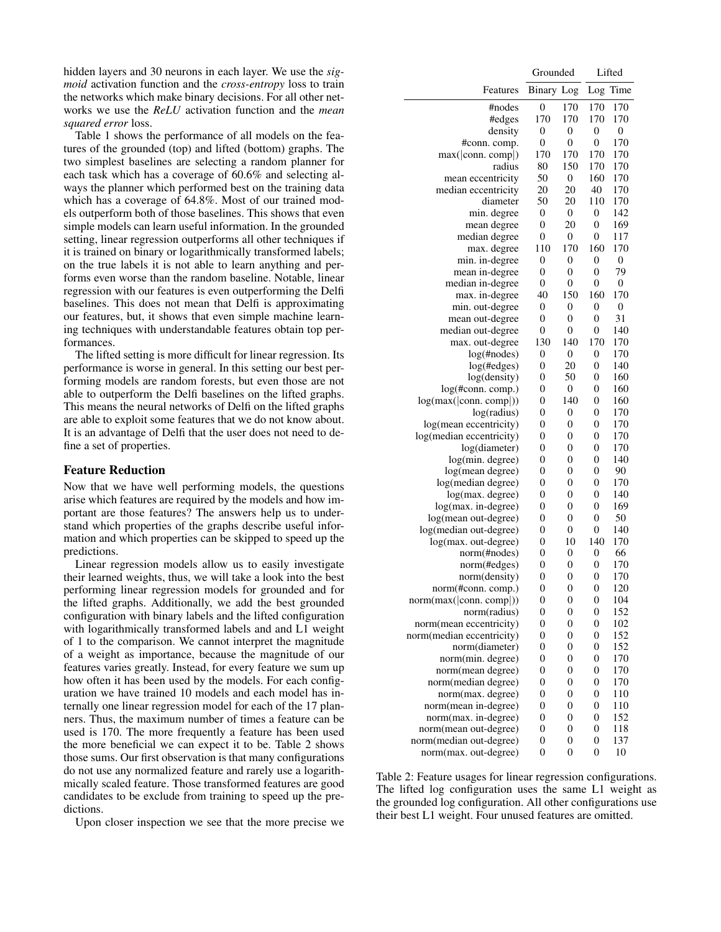hidden layers and 30 neurons in each layer. We use the *sigmoid* activation function and the *cross-entropy* loss to train the networks which make binary decisions. For all other networks we use the *ReLU* activation function and the *mean squared error* loss.

Table 1 shows the performance of all models on the features of the grounded (top) and lifted (bottom) graphs. The two simplest baselines are selecting a random planner for each task which has a coverage of 60.6% and selecting always the planner which performed best on the training data which has a coverage of 64.8%. Most of our trained models outperform both of those baselines. This shows that even simple models can learn useful information. In the grounded setting, linear regression outperforms all other techniques if it is trained on binary or logarithmically transformed labels; on the true labels it is not able to learn anything and performs even worse than the random baseline. Notable, linear regression with our features is even outperforming the Delfi baselines. This does not mean that Delfi is approximating our features, but, it shows that even simple machine learning techniques with understandable features obtain top performances.

The lifted setting is more difficult for linear regression. Its performance is worse in general. In this setting our best performing models are random forests, but even those are not able to outperform the Delfi baselines on the lifted graphs. This means the neural networks of Delfi on the lifted graphs are able to exploit some features that we do not know about. It is an advantage of Delfi that the user does not need to define a set of properties.

#### Feature Reduction

Now that we have well performing models, the questions arise which features are required by the models and how important are those features? The answers help us to understand which properties of the graphs describe useful information and which properties can be skipped to speed up the predictions.

Linear regression models allow us to easily investigate their learned weights, thus, we will take a look into the best performing linear regression models for grounded and for the lifted graphs. Additionally, we add the best grounded configuration with binary labels and the lifted configuration with logarithmically transformed labels and and L1 weight of 1 to the comparison. We cannot interpret the magnitude of a weight as importance, because the magnitude of our features varies greatly. Instead, for every feature we sum up how often it has been used by the models. For each configuration we have trained 10 models and each model has internally one linear regression model for each of the 17 planners. Thus, the maximum number of times a feature can be used is 170. The more frequently a feature has been used the more beneficial we can expect it to be. Table 2 shows those sums. Our first observation is that many configurations do not use any normalized feature and rarely use a logarithmically scaled feature. Those transformed features are good candidates to be exclude from training to speed up the predictions.

Upon closer inspection we see that the more precise we

|                           | Grounded         |                  |                | Lifted       |  |
|---------------------------|------------------|------------------|----------------|--------------|--|
| Features                  | Binary Log       |                  | Log            | Time         |  |
| #nodes                    | 0                | 170              | 170            | 170          |  |
| #edges                    | 170              | 170              | 170            | 170          |  |
| density                   | 0                | 0                | 0              | 0            |  |
| #conn. comp.              | $\mathbf{0}$     | 0                | $\mathbf{0}$   | 170          |  |
| max( conn. comp )         | 170              | 170              | 170            | 170          |  |
| radius                    | 80               | 150              | 170            | 170          |  |
| mean eccentricity         | 50               | 0                | 160            | 170          |  |
| median eccentricity       | 20               | 20               | 40             | 170          |  |
| diameter                  | 50               | 20               | 110            | 170          |  |
| min. degree               | $\mathbf{0}$     | $\boldsymbol{0}$ | 0              | 142          |  |
| mean degree               | 0                | 20               | 0              | 169          |  |
| median degree             | 0                | 0                | 0              | 117          |  |
| max. degree               | 110              | 170              | 160            | 170          |  |
| min. in-degree            | 0                | 0                | 0              | $\mathbf{0}$ |  |
| mean in-degree            | $\overline{0}$   | 0                | 0              | 79           |  |
| median in-degree          | 0                | 0                | 0              | 0            |  |
| max. in-degree            | 40               | 150              | 160            | 170          |  |
| min. out-degree           | 0                | 0                | 0              | $\mathbf{0}$ |  |
| mean out-degree           | 0                | 0                | 0              | 31           |  |
| median out-degree         | $\mathbf{0}$     | 0                | 0              | 140          |  |
| max. out-degree           | 130              | 140              | 170            | 170          |  |
| $log(\text{\#nodes})$     | 0                | 0                | 0              | 170          |  |
| log(#edges)               | 0                | 20               | 0              | 140          |  |
| log(density)              | 0                | 50               | 0              | 160          |  |
| log(#conn. comp.)         | 0                | $\boldsymbol{0}$ | 0              | 160          |  |
| log(max( conn. comp ))    | 0                | 140              | 0              | 160          |  |
| log(radius)               | 0                | 0                | 0              | 170          |  |
| log(mean eccentricity)    | 0                | 0                | 0              | 170          |  |
| log(median eccentricity)  | 0                | 0                | 0              | 170          |  |
| log(diameter)             | 0                | 0                | 0              | 170          |  |
| log(min. degree)          | 0                | 0                | 0              | 140          |  |
| log(mean degree)          | 0                | 0                | 0              | 90           |  |
| log(median degree)        | 0                | 0                | 0              | 170          |  |
| log(max. degree)          | 0                | 0                | 0              | 140          |  |
| log(max. in-degree)       | 0                | 0                | 0              | 169          |  |
| log(mean out-degree)      | 0                | 0                | 0              | 50           |  |
| log(median out-degree)    | 0                | 0                | 0              | 140          |  |
| log(max. out-degree)      | 0                | 10               | 140            | 170          |  |
| norm(#nodes)              | 0                | 0                | 0              | 66           |  |
| norm(#edges)              | 0                | 0                | 0              | 170          |  |
| norm(density)             | $\overline{0}$   | 0                | $\overline{0}$ | 170          |  |
| norm(#conn. comp.)        | $\boldsymbol{0}$ | 0                | 0              | 120          |  |
| norm(max( conn. comp ))   | 0                | 0                | 0              | 104          |  |
| norm(radius)              | 0                | $\overline{0}$   | $\overline{0}$ | 152          |  |
| norm(mean eccentricity)   | 0                | 0                | 0              | 102          |  |
| norm(median eccentricity) | 0                | 0                | 0              | 152          |  |
| norm(diameter)            | $\mathbf{0}$     | $\overline{0}$   | 0              | 152          |  |
| norm(min. degree)         | $\mathbf{0}$     | 0                | 0              | 170          |  |
| norm(mean degree)         | $\mathbf{0}$     | 0                | 0              | 170          |  |
| norm(median degree)       | $\mathbf{0}$     | $\mathbf{0}$     | $\overline{0}$ | 170          |  |
| norm(max. degree)         | $\mathbf{0}$     | 0                | 0              | 110          |  |
| norm(mean in-degree)      | $\mathbf{0}$     | 0                | 0              | 110          |  |
| norm(max. in-degree)      | $\mathbf{0}$     | 0                | 0              | 152          |  |
| norm(mean out-degree)     | 0                | 0                | 0              | 118          |  |
| norm(median out-degree)   | 0                | 0                | 0              | 137          |  |
| norm(max. out-degree)     | $\mathbf{0}$     | $\mathbf{0}$     | $\mathbf{0}$   | 10           |  |

Table 2: Feature usages for linear regression configurations. The lifted log configuration uses the same L1 weight as the grounded log configuration. All other configurations use their best L1 weight. Four unused features are omitted.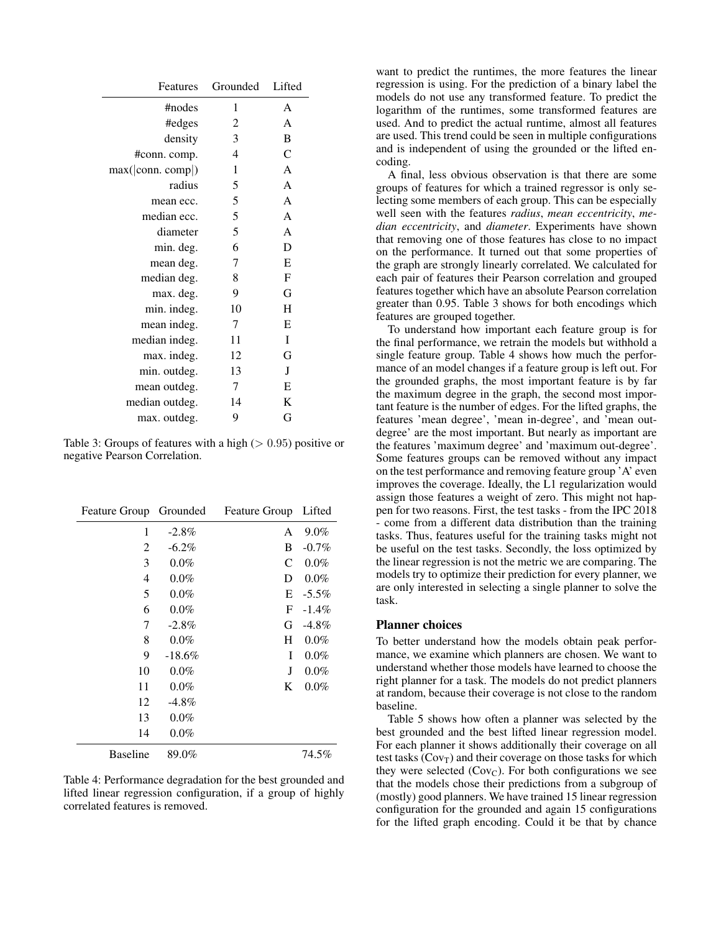| Features          | Grounded | Lifted |
|-------------------|----------|--------|
| #nodes            | 1        | A      |
| #edges            | 2        | A      |
| density           | 3        | B      |
| #conn. comp.      | 4        | C      |
| max( conn. comp ) | 1        | A      |
| radius            | 5        | A      |
| mean ecc.         | 5        | A      |
| median ecc.       | 5        | A      |
| diameter          | 5        | A      |
| min. deg.         | 6        | D      |
| mean deg.         | 7        | E      |
| median deg.       | 8        | F      |
| max. deg.         | 9        | G      |
| min. indeg.       | 10       | H      |
| mean indeg.       | 7        | E      |
| median indeg.     | 11       | I      |
| max. indeg.       | 12       | G      |
| min. outdeg.      | 13       | J      |
| mean outdeg.      | 7        | Е      |
| median outdeg.    | 14       | K      |
| max. outdeg.      | 9        | G      |

Table 3: Groups of features with a high  $(> 0.95)$  positive or negative Pearson Correlation.

| Feature Group Grounded |          | Feature Group | Lifted   |
|------------------------|----------|---------------|----------|
| 1                      | $-2.8\%$ | A             | 9.0%     |
| 2                      | $-6.2\%$ | B             | $-0.7\%$ |
| 3                      | $0.0\%$  | C             | $0.0\%$  |
| 4                      | $0.0\%$  | D             | $0.0\%$  |
| 5                      | $0.0\%$  | E             | $-5.5\%$ |
| 6                      | $0.0\%$  | F             | $-1.4\%$ |
| 7                      | $-2.8\%$ | G             | $-4.8\%$ |
| 8                      | $0.0\%$  | H             | $0.0\%$  |
| 9                      | $-18.6%$ | I             | $0.0\%$  |
| 10                     | $0.0\%$  | J             | $0.0\%$  |
| 11                     | $0.0\%$  | K             | $0.0\%$  |
| 12                     | $-4.8\%$ |               |          |
| 13                     | $0.0\%$  |               |          |
| 14                     | $0.0\%$  |               |          |
| <b>Baseline</b>        | 89.0%    |               | 74.5%    |

Table 4: Performance degradation for the best grounded and lifted linear regression configuration, if a group of highly correlated features is removed.

want to predict the runtimes, the more features the linear regression is using. For the prediction of a binary label the models do not use any transformed feature. To predict the logarithm of the runtimes, some transformed features are used. And to predict the actual runtime, almost all features are used. This trend could be seen in multiple configurations and is independent of using the grounded or the lifted encoding.

A final, less obvious observation is that there are some groups of features for which a trained regressor is only selecting some members of each group. This can be especially well seen with the features *radius*, *mean eccentricity*, *median eccentricity*, and *diameter*. Experiments have shown that removing one of those features has close to no impact on the performance. It turned out that some properties of the graph are strongly linearly correlated. We calculated for each pair of features their Pearson correlation and grouped features together which have an absolute Pearson correlation greater than 0.95. Table 3 shows for both encodings which features are grouped together.

To understand how important each feature group is for the final performance, we retrain the models but withhold a single feature group. Table 4 shows how much the performance of an model changes if a feature group is left out. For the grounded graphs, the most important feature is by far the maximum degree in the graph, the second most important feature is the number of edges. For the lifted graphs, the features 'mean degree', 'mean in-degree', and 'mean outdegree' are the most important. But nearly as important are the features 'maximum degree' and 'maximum out-degree'. Some features groups can be removed without any impact on the test performance and removing feature group 'A' even improves the coverage. Ideally, the L1 regularization would assign those features a weight of zero. This might not happen for two reasons. First, the test tasks - from the IPC 2018 - come from a different data distribution than the training tasks. Thus, features useful for the training tasks might not be useful on the test tasks. Secondly, the loss optimized by the linear regression is not the metric we are comparing. The models try to optimize their prediction for every planner, we are only interested in selecting a single planner to solve the task.

#### Planner choices

To better understand how the models obtain peak performance, we examine which planners are chosen. We want to understand whether those models have learned to choose the right planner for a task. The models do not predict planners at random, because their coverage is not close to the random baseline.

Table 5 shows how often a planner was selected by the best grounded and the best lifted linear regression model. For each planner it shows additionally their coverage on all test tasks  $(Cov_T)$  and their coverage on those tasks for which they were selected  $(Cov_C)$ . For both configurations we see that the models chose their predictions from a subgroup of (mostly) good planners. We have trained 15 linear regression configuration for the grounded and again 15 configurations for the lifted graph encoding. Could it be that by chance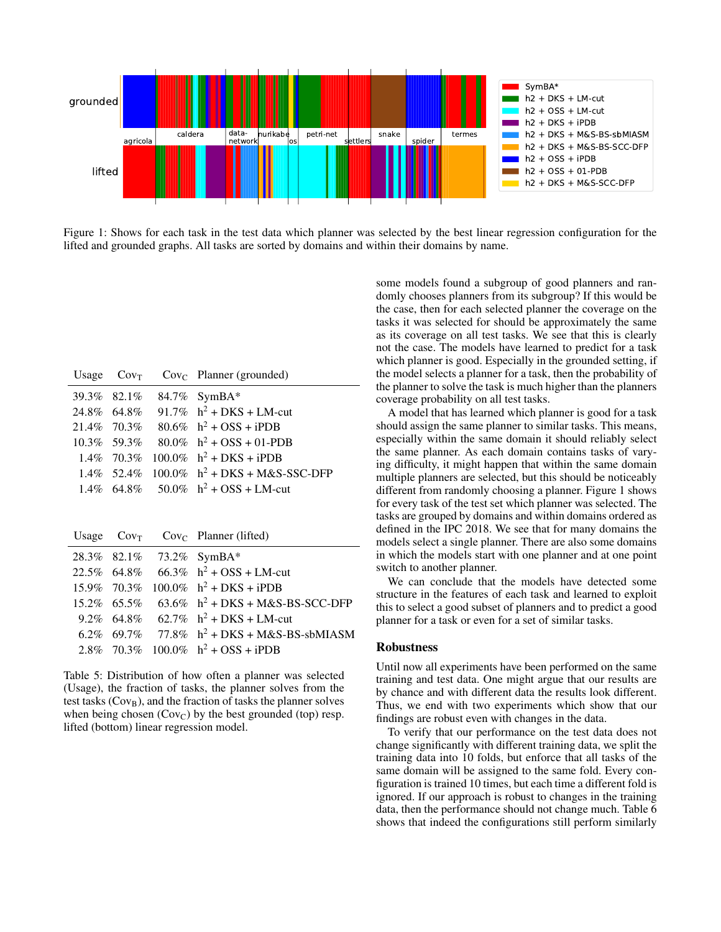

Figure 1: Shows for each task in the test data which planner was selected by the best linear regression configuration for the lifted and grounded graphs. All tasks are sorted by domains and within their domains by name.

|  | Usage $Cov_T$ $Cov_C$ Planner (grounded)           |
|--|----------------------------------------------------|
|  | 39.3% 82.1% 84.7% SymBA*                           |
|  | 24.8% 64.8% 91.7% $h^2$ + DKS + LM-cut             |
|  | 21.4% 70.3% 80.6% $h^2$ + OSS + iPDB               |
|  | $10.3\%$ 59.3% 80.0% h <sup>2</sup> + OSS + 01-PDB |
|  | 1.4% $70.3\%$ 100.0% $h^2$ + DKS + iPDB            |
|  | 1.4% $52.4\%$ 100.0% $h^2$ + DKS + M&S-SSC-DFP     |
|  | 1.4% 64.8% 50.0% $h^2$ + OSS + LM-cut              |

|  | Usage $Cov_T$ $Cov_C$ Planner (lifted)                     |
|--|------------------------------------------------------------|
|  | 28.3% 82.1% 73.2% SymBA*                                   |
|  | 22.5% 64.8% 66.3% $h^2$ + OSS + LM-cut                     |
|  | 15.9% 70.3% 100.0% $h^2$ + DKS + iPDB                      |
|  | $15.2\%$ 65.5% 63.6% h <sup>2</sup> + DKS + M&S-BS-SCC-DFP |
|  | 9.2% 64.8% 62.7% $h^2$ + DKS + LM-cut                      |
|  | 6.2\% 69.7\% 77.8\% h <sup>2</sup> + DKS + M&S-BS-sbMIASM  |
|  | 2.8% 70.3% 100.0% $h^2$ + OSS + iPDB                       |
|  |                                                            |

Table 5: Distribution of how often a planner was selected (Usage), the fraction of tasks, the planner solves from the test tasks  $(Cov_B)$ , and the fraction of tasks the planner solves when being chosen  $(Cov_C)$  by the best grounded (top) resp. lifted (bottom) linear regression model.

some models found a subgroup of good planners and randomly chooses planners from its subgroup? If this would be the case, then for each selected planner the coverage on the tasks it was selected for should be approximately the same as its coverage on all test tasks. We see that this is clearly not the case. The models have learned to predict for a task which planner is good. Especially in the grounded setting, if the model selects a planner for a task, then the probability of the planner to solve the task is much higher than the planners coverage probability on all test tasks.

A model that has learned which planner is good for a task should assign the same planner to similar tasks. This means, especially within the same domain it should reliably select the same planner. As each domain contains tasks of varying difficulty, it might happen that within the same domain multiple planners are selected, but this should be noticeably different from randomly choosing a planner. Figure 1 shows for every task of the test set which planner was selected. The tasks are grouped by domains and within domains ordered as defined in the IPC 2018. We see that for many domains the models select a single planner. There are also some domains in which the models start with one planner and at one point switch to another planner.

We can conclude that the models have detected some structure in the features of each task and learned to exploit this to select a good subset of planners and to predict a good planner for a task or even for a set of similar tasks.

### Robustness

Until now all experiments have been performed on the same training and test data. One might argue that our results are by chance and with different data the results look different. Thus, we end with two experiments which show that our findings are robust even with changes in the data.

To verify that our performance on the test data does not change significantly with different training data, we split the training data into 10 folds, but enforce that all tasks of the same domain will be assigned to the same fold. Every configuration is trained 10 times, but each time a different fold is ignored. If our approach is robust to changes in the training data, then the performance should not change much. Table 6 shows that indeed the configurations still perform similarly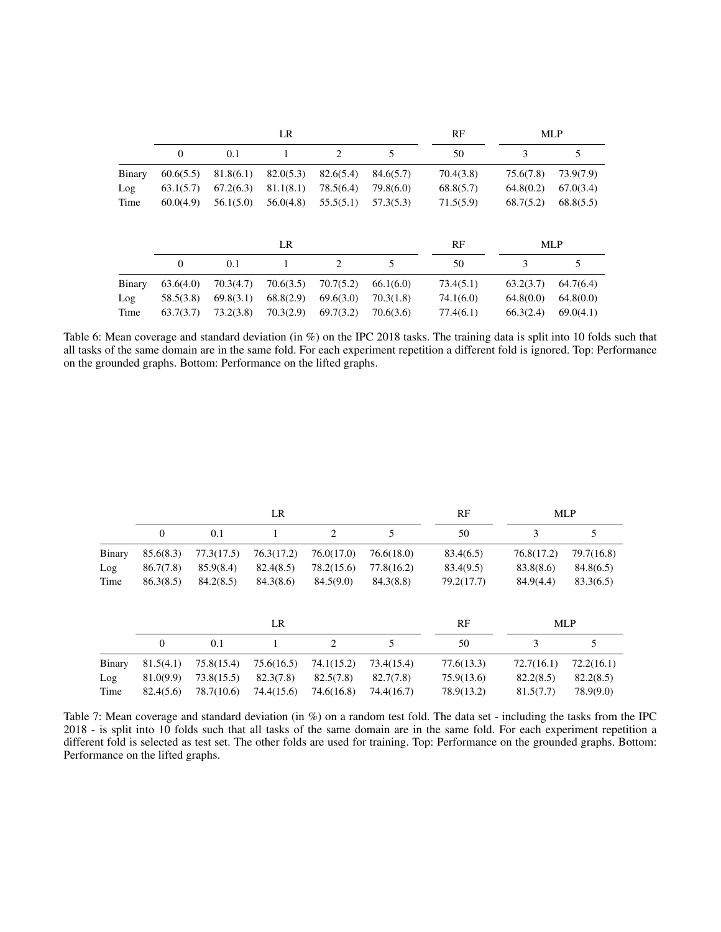|        |                |           | LR        |           |           | RF        |           | <b>MLP</b> |
|--------|----------------|-----------|-----------|-----------|-----------|-----------|-----------|------------|
|        | $\theta$       | 0.1       | 1         | 2         | 5         | 50        | 3         | 5          |
| Binary | 60.6(5.5)      | 81.8(6.1) | 82.0(5.3) | 82.6(5.4) | 84.6(5.7) | 70.4(3.8) | 75.6(7.8) | 73.9(7.9)  |
| Log    | 63.1(5.7)      | 67.2(6.3) | 81.1(8.1) | 78.5(6.4) | 79.8(6.0) | 68.8(5.7) | 64.8(0.2) | 67.0(3.4)  |
| Time   | 60.0(4.9)      | 56.1(5.0) | 56.0(4.8) | 55.5(5.1) | 57.3(5.3) | 71.5(5.9) | 68.7(5.2) | 68.8(5.5)  |
|        |                |           | LR        |           |           | RF        |           | <b>MLP</b> |
|        | $\overline{0}$ | 0.1       |           | 2         | 5         | 50        | 3         | 5          |
| Binary | 63.6(4.0)      | 70.3(4.7) | 70.6(3.5) | 70.7(5.2) | 66.1(6.0) | 73.4(5.1) | 63.2(3.7) | 64.7(6.4)  |
| Log    | 58.5(3.8)      | 69.8(3.1) | 68.8(2.9) | 69.6(3.0) | 70.3(1.8) | 74.1(6.0) | 64.8(0.0) | 64.8(0.0)  |
| Time   | 63.7(3.7)      | 73.2(3.8) | 70.3(2.9) | 69.7(3.2) | 70.6(3.6) | 77.4(6.1) | 66.3(2.4) | 69.0(4.1)  |

Table 6: Mean coverage and standard deviation (in %) on the IPC 2018 tasks. The training data is split into 10 folds such that all tasks of the same domain are in the same fold. For each experiment repetition a different fold is ignored. Top: Performance on the grounded graphs. Bottom: Performance on the lifted graphs.

|        |                |            | LR         |                |            | RF         |            | <b>MLP</b> |
|--------|----------------|------------|------------|----------------|------------|------------|------------|------------|
|        | $\mathbf{0}$   | 0.1        |            | 2              | 5          | 50         | 3          | 5          |
| Binary | 85.6(8.3)      | 77.3(17.5) | 76.3(17.2) | 76.0(17.0)     | 76.6(18.0) | 83.4(6.5)  | 76.8(17.2) | 79.7(16.8) |
| Log    | 86.7(7.8)      | 85.9(8.4)  | 82.4(8.5)  | 78.2(15.6)     | 77.8(16.2) | 83.4(9.5)  | 83.8(8.6)  | 84.8(6.5)  |
| Time   | 86.3(8.5)      | 84.2(8.5)  | 84.3(8.6)  | 84.5(9.0)      | 84.3(8.8)  | 79.2(17.7) | 84.9(4.4)  | 83.3(6.5)  |
|        |                |            | LR.        |                |            | RF         |            | <b>MLP</b> |
|        | $\overline{0}$ | 0.1        |            | $\overline{c}$ | 5          | 50         | 3          | 5          |
| Binary | 81.5(4.1)      | 75.8(15.4) | 75.6(16.5) | 74.1(15.2)     | 73.4(15.4) | 77.6(13.3) | 72.7(16.1) | 72.2(16.1) |
| Log    | 81.0(9.9)      | 73.8(15.5) | 82.3(7.8)  | 82.5(7.8)      | 82.7(7.8)  | 75.9(13.6) | 82.2(8.5)  | 82.2(8.5)  |
| Time   | 82.4(5.6)      | 78.7(10.6) | 74.4(15.6) | 74.6(16.8)     | 74.4(16.7) | 78.9(13.2) | 81.5(7.7)  | 78.9(9.0)  |

Table 7: Mean coverage and standard deviation (in %) on a random test fold. The data set - including the tasks from the IPC 2018 - is split into 10 folds such that all tasks of the same domain are in the same fold. For each experiment repetition a different fold is selected as test set. The other folds are used for training. Top: Performance on the grounded graphs. Bottom: Performance on the lifted graphs.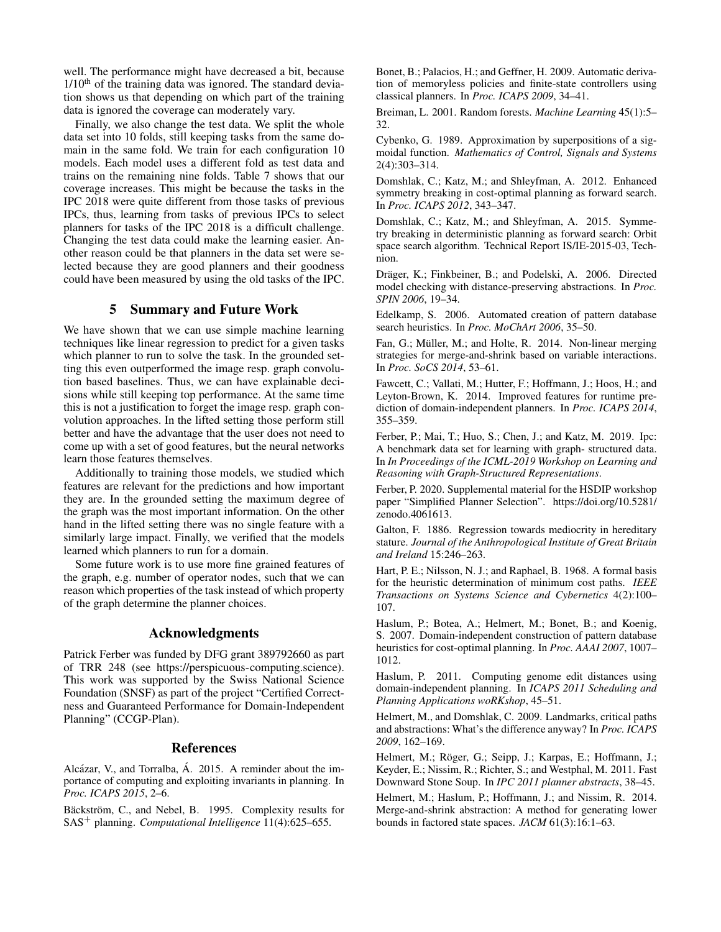well. The performance might have decreased a bit, because  $1/10<sup>th</sup>$  of the training data was ignored. The standard deviation shows us that depending on which part of the training data is ignored the coverage can moderately vary.

Finally, we also change the test data. We split the whole data set into 10 folds, still keeping tasks from the same domain in the same fold. We train for each configuration 10 models. Each model uses a different fold as test data and trains on the remaining nine folds. Table 7 shows that our coverage increases. This might be because the tasks in the IPC 2018 were quite different from those tasks of previous IPCs, thus, learning from tasks of previous IPCs to select planners for tasks of the IPC 2018 is a difficult challenge. Changing the test data could make the learning easier. Another reason could be that planners in the data set were selected because they are good planners and their goodness could have been measured by using the old tasks of the IPC.

## 5 Summary and Future Work

We have shown that we can use simple machine learning techniques like linear regression to predict for a given tasks which planner to run to solve the task. In the grounded setting this even outperformed the image resp. graph convolution based baselines. Thus, we can have explainable decisions while still keeping top performance. At the same time this is not a justification to forget the image resp. graph convolution approaches. In the lifted setting those perform still better and have the advantage that the user does not need to come up with a set of good features, but the neural networks learn those features themselves.

Additionally to training those models, we studied which features are relevant for the predictions and how important they are. In the grounded setting the maximum degree of the graph was the most important information. On the other hand in the lifted setting there was no single feature with a similarly large impact. Finally, we verified that the models learned which planners to run for a domain.

Some future work is to use more fine grained features of the graph, e.g. number of operator nodes, such that we can reason which properties of the task instead of which property of the graph determine the planner choices.

## Acknowledgments

Patrick Ferber was funded by DFG grant 389792660 as part of TRR 248 (see https://perspicuous-computing.science). This work was supported by the Swiss National Science Foundation (SNSF) as part of the project "Certified Correctness and Guaranteed Performance for Domain-Independent Planning" (CCGP-Plan).

### References

Alcázar, V., and Torralba, Á. 2015. A reminder about the importance of computing and exploiting invariants in planning. In *Proc. ICAPS 2015*, 2–6.

Bäckström, C., and Nebel, B. 1995. Complexity results for SAS<sup>+</sup> planning. *Computational Intelligence* 11(4):625–655.

Bonet, B.; Palacios, H.; and Geffner, H. 2009. Automatic derivation of memoryless policies and finite-state controllers using classical planners. In *Proc. ICAPS 2009*, 34–41.

Breiman, L. 2001. Random forests. *Machine Learning* 45(1):5– 32.

Cybenko, G. 1989. Approximation by superpositions of a sigmoidal function. *Mathematics of Control, Signals and Systems* 2(4):303–314.

Domshlak, C.; Katz, M.; and Shleyfman, A. 2012. Enhanced symmetry breaking in cost-optimal planning as forward search. In *Proc. ICAPS 2012*, 343–347.

Domshlak, C.; Katz, M.; and Shleyfman, A. 2015. Symmetry breaking in deterministic planning as forward search: Orbit space search algorithm. Technical Report IS/IE-2015-03, Technion.

Dräger, K.; Finkbeiner, B.; and Podelski, A. 2006. Directed model checking with distance-preserving abstractions. In *Proc. SPIN 2006*, 19–34.

Edelkamp, S. 2006. Automated creation of pattern database search heuristics. In *Proc. MoChArt 2006*, 35–50.

Fan, G.; Müller, M.; and Holte, R. 2014. Non-linear merging strategies for merge-and-shrink based on variable interactions. In *Proc. SoCS 2014*, 53–61.

Fawcett, C.; Vallati, M.; Hutter, F.; Hoffmann, J.; Hoos, H.; and Leyton-Brown, K. 2014. Improved features for runtime prediction of domain-independent planners. In *Proc. ICAPS 2014*, 355–359.

Ferber, P.; Mai, T.; Huo, S.; Chen, J.; and Katz, M. 2019. Ipc: A benchmark data set for learning with graph- structured data. In *In Proceedings of the ICML-2019 Workshop on Learning and Reasoning with Graph-Structured Representations*.

Ferber, P. 2020. Supplemental material for the HSDIP workshop paper "Simplified Planner Selection". https://doi.org/10.5281/ zenodo.4061613.

Galton, F. 1886. Regression towards mediocrity in hereditary stature. *Journal of the Anthropological Institute of Great Britain and Ireland* 15:246–263.

Hart, P. E.; Nilsson, N. J.; and Raphael, B. 1968. A formal basis for the heuristic determination of minimum cost paths. *IEEE Transactions on Systems Science and Cybernetics* 4(2):100– 107.

Haslum, P.; Botea, A.; Helmert, M.; Bonet, B.; and Koenig, S. 2007. Domain-independent construction of pattern database heuristics for cost-optimal planning. In *Proc. AAAI 2007*, 1007– 1012.

Haslum, P. 2011. Computing genome edit distances using domain-independent planning. In *ICAPS 2011 Scheduling and Planning Applications woRKshop*, 45–51.

Helmert, M., and Domshlak, C. 2009. Landmarks, critical paths and abstractions: What's the difference anyway? In *Proc. ICAPS 2009*, 162–169.

Helmert, M.; Röger, G.; Seipp, J.; Karpas, E.; Hoffmann, J.; Keyder, E.; Nissim, R.; Richter, S.; and Westphal, M. 2011. Fast Downward Stone Soup. In *IPC 2011 planner abstracts*, 38–45.

Helmert, M.; Haslum, P.; Hoffmann, J.; and Nissim, R. 2014. Merge-and-shrink abstraction: A method for generating lower bounds in factored state spaces. *JACM* 61(3):16:1–63.